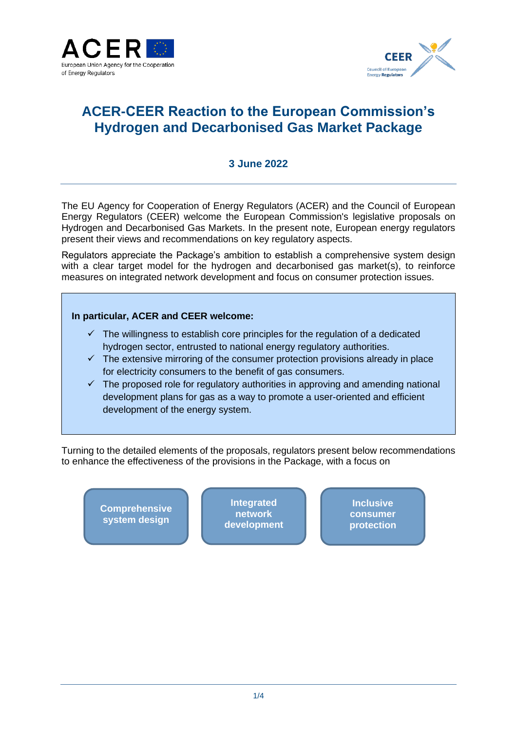



# **ACER-CEER Reaction to the European Commission's Hydrogen and Decarbonised Gas Market Package**

#### **3 June 2022**

The EU Agency for Cooperation of Energy Regulators (ACER) and the Council of European Energy Regulators (CEER) welcome the European Commission's legislative proposals on Hydrogen and Decarbonised Gas Markets. In the present note, European energy regulators present their views and recommendations on key regulatory aspects.

Regulators appreciate the Package's ambition to establish a comprehensive system design with a clear target model for the hydrogen and decarbonised gas market(s), to reinforce measures on integrated network development and focus on consumer protection issues.

#### **In particular, ACER and CEER welcome:**

- $\checkmark$  The willingness to establish core principles for the regulation of a dedicated hydrogen sector, entrusted to national energy regulatory authorities.
- $\checkmark$  The extensive mirroring of the consumer protection provisions already in place for electricity consumers to the benefit of gas consumers.
- $\checkmark$  The proposed role for regulatory authorities in approving and amending national development plans for gas as a way to promote a user-oriented and efficient development of the energy system.

Turning to the detailed elements of the proposals, regulators present below recommendations to enhance the effectiveness of the provisions in the Package, with a focus on

**Comprehensive system design**

**Integrated network development**

**Inclusive consumer protection**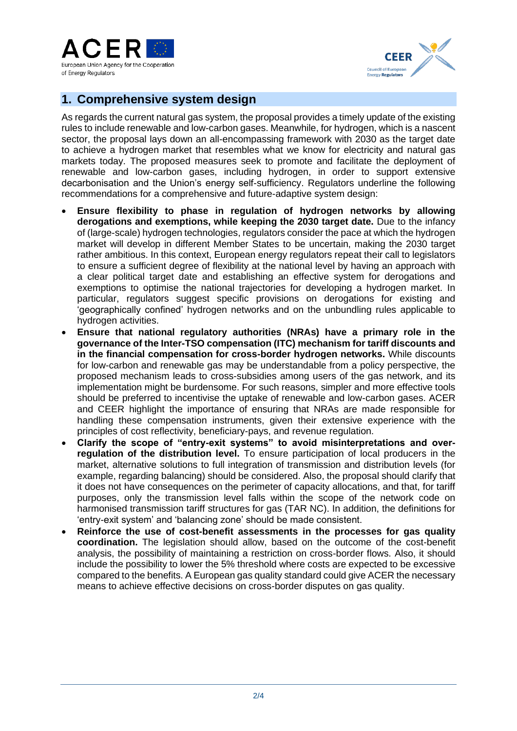



## **1. Comprehensive system design**

As regards the current natural gas system, the proposal provides a timely update of the existing rules to include renewable and low-carbon gases. Meanwhile, for hydrogen, which is a nascent sector, the proposal lays down an all-encompassing framework with 2030 as the target date to achieve a hydrogen market that resembles what we know for electricity and natural gas markets today. The proposed measures seek to promote and facilitate the deployment of renewable and low-carbon gases, including hydrogen, in order to support extensive decarbonisation and the Union's energy self-sufficiency. Regulators underline the following recommendations for a comprehensive and future-adaptive system design:

- **Ensure flexibility to phase in regulation of hydrogen networks by allowing derogations and exemptions, while keeping the 2030 target date.** Due to the infancy of (large-scale) hydrogen technologies, regulators consider the pace at which the hydrogen market will develop in different Member States to be uncertain, making the 2030 target rather ambitious. In this context, European energy regulators repeat their call to legislators to ensure a sufficient degree of flexibility at the national level by having an approach with a clear political target date and establishing an effective system for derogations and exemptions to optimise the national trajectories for developing a hydrogen market. In particular, regulators suggest specific provisions on derogations for existing and 'geographically confined' hydrogen networks and on the unbundling rules applicable to hydrogen activities.
- **Ensure that national regulatory authorities (NRAs) have a primary role in the governance of the Inter-TSO compensation (ITC) mechanism for tariff discounts and in the financial compensation for cross-border hydrogen networks.** While discounts for low-carbon and renewable gas may be understandable from a policy perspective, the proposed mechanism leads to cross-subsidies among users of the gas network, and its implementation might be burdensome. For such reasons, simpler and more effective tools should be preferred to incentivise the uptake of renewable and low-carbon gases. ACER and CEER highlight the importance of ensuring that NRAs are made responsible for handling these compensation instruments, given their extensive experience with the principles of cost reflectivity, beneficiary-pays, and revenue regulation.
- **Clarify the scope of "entry-exit systems" to avoid misinterpretations and overregulation of the distribution level.** To ensure participation of local producers in the market, alternative solutions to full integration of transmission and distribution levels (for example, regarding balancing) should be considered. Also, the proposal should clarify that it does not have consequences on the perimeter of capacity allocations, and that, for tariff purposes, only the transmission level falls within the scope of the network code on harmonised transmission tariff structures for gas (TAR NC). In addition, the definitions for 'entry-exit system' and 'balancing zone' should be made consistent.
- **Reinforce the use of cost-benefit assessments in the processes for gas quality coordination.** The legislation should allow, based on the outcome of the cost-benefit analysis, the possibility of maintaining a restriction on cross-border flows. Also, it should include the possibility to lower the 5% threshold where costs are expected to be excessive compared to the benefits. A European gas quality standard could give ACER the necessary means to achieve effective decisions on cross-border disputes on gas quality.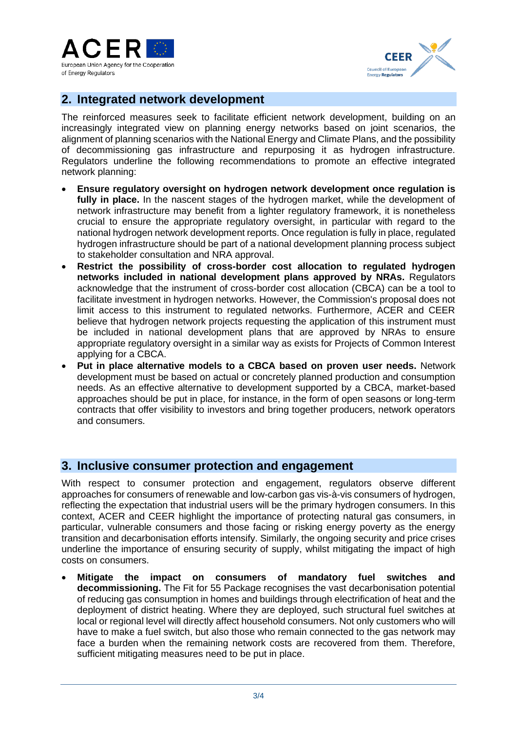



### **2. Integrated network development**

The reinforced measures seek to facilitate efficient network development, building on an increasingly integrated view on planning energy networks based on joint scenarios, the alignment of planning scenarios with the National Energy and Climate Plans, and the possibility of decommissioning gas infrastructure and repurposing it as hydrogen infrastructure. Regulators underline the following recommendations to promote an effective integrated network planning:

- **Ensure regulatory oversight on hydrogen network development once regulation is**  fully in place. In the nascent stages of the hydrogen market, while the development of network infrastructure may benefit from a lighter regulatory framework, it is nonetheless crucial to ensure the appropriate regulatory oversight, in particular with regard to the national hydrogen network development reports. Once regulation is fully in place, regulated hydrogen infrastructure should be part of a national development planning process subject to stakeholder consultation and NRA approval.
- **Restrict the possibility of cross-border cost allocation to regulated hydrogen networks included in national development plans approved by NRAs.** Regulators acknowledge that the instrument of cross-border cost allocation (CBCA) can be a tool to facilitate investment in hydrogen networks. However, the Commission's proposal does not limit access to this instrument to regulated networks. Furthermore, ACER and CEER believe that hydrogen network projects requesting the application of this instrument must be included in national development plans that are approved by NRAs to ensure appropriate regulatory oversight in a similar way as exists for Projects of Common Interest applying for a CBCA.
- **Put in place alternative models to a CBCA based on proven user needs.** Network development must be based on actual or concretely planned production and consumption needs. As an effective alternative to development supported by a CBCA, market-based approaches should be put in place, for instance, in the form of open seasons or long-term contracts that offer visibility to investors and bring together producers, network operators and consumers.

### **3. Inclusive consumer protection and engagement**

With respect to consumer protection and engagement, regulators observe different approaches for consumers of renewable and low-carbon gas vis-à-vis consumers of hydrogen, reflecting the expectation that industrial users will be the primary hydrogen consumers. In this context, ACER and CEER highlight the importance of protecting natural gas consumers, in particular, vulnerable consumers and those facing or risking energy poverty as the energy transition and decarbonisation efforts intensify. Similarly, the ongoing security and price crises underline the importance of ensuring security of supply, whilst mitigating the impact of high costs on consumers.

• **Mitigate the impact on consumers of mandatory fuel switches and decommissioning.** The Fit for 55 Package recognises the vast decarbonisation potential of reducing gas consumption in homes and buildings through electrification of heat and the deployment of district heating. Where they are deployed, such structural fuel switches at local or regional level will directly affect household consumers. Not only customers who will have to make a fuel switch, but also those who remain connected to the gas network may face a burden when the remaining network costs are recovered from them. Therefore, sufficient mitigating measures need to be put in place.